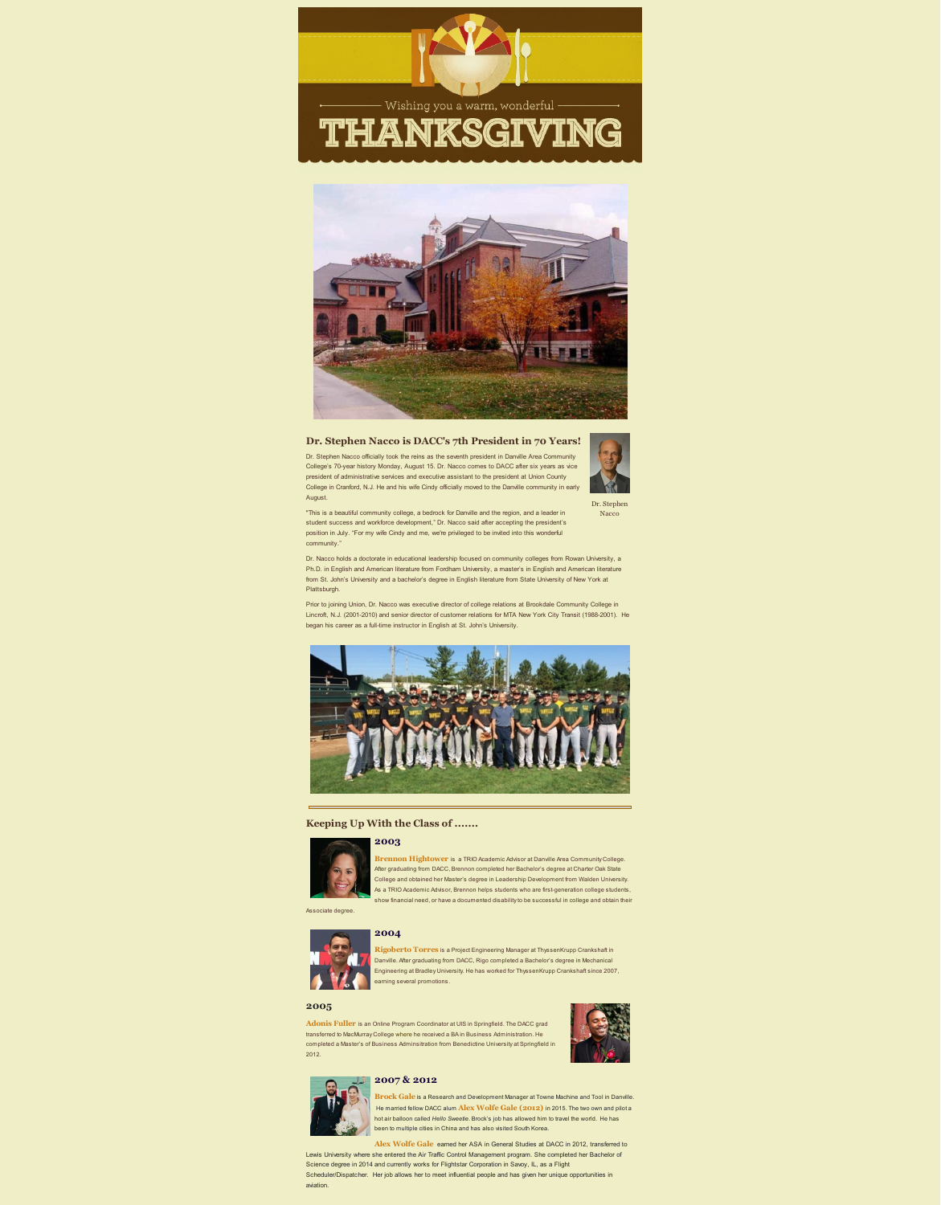Wishing you a warm, wonderful .

# THANKSGIVING



## **Dr. Stephen Nacco is DACC's 7th President in 70 Years!**

Dr. Stephen Nacco officially took the reins as the seventh president in Danville Area Community College's 70-year history Monday, August 15. Dr. Nacco comes to DACC after six years as vice president of administrative services and executive assistant to the president at Union County College in Cranford, N.J. He and his wife Cindy officially moved to the Danville community in early August.

"This is a beautiful community college, a bedrock for Danville and the region, and a leader in student success and workforce development," Dr. Nacco said after accepting the president's position in July. "For my wife Cindy and me, we're privileged to be invited into this wonderful community."



Dr. Stephen **Nacco** 

**Brennon Hightower** is a TRIO Academic Advisor at Danville Area Community College. After graduating from DACC, Brennon completed her Bachelor's degree at Charter Oak State College and obtained her Master's degree in Leadership Development from Walden University. As a TRIO Academic Advisor, Brennon helps students who are first-generation college students, show financial need, or have a documented disability to be successful in college and obtain their

Dr. Nacco holds a doctorate in educational leadership focused on community colleges from Rowan University, a Ph.D. in English and American literature from Fordham University, a master's in English and American literature from St. John's University and a bachelor's degree in English literature from State University of New York at Plattsburgh.

Prior to joining Union, Dr. Nacco was executive director of college relations at Brookdale Community College in Lincroft, N.J. (2001-2010) and senior director of customer relations for MTA New York City Transit (1988-2001). He began his career as a full-time instructor in English at St. John's University.



## **Keeping Up With the Class of .......**



### **2003**

Associate degree.



#### **2004**

**Rigoberto Torres** is a Project Engineering Manager at ThyssenKrupp Crankshaft in Danville. After graduating from DACC, Rigo completed a Bachelor's degree in Mechanical Engineering at Bradley University. He has worked for ThyssenKrupp Crankshaft since 2007, earning several promotions.

## **2005**

**Adonis Fuller** is an Online Program Coordinator at UIS in Springfield. The DACC grad transferred to MacMurray College where he received a BA in Business Administration. He completed a Master's of Business Adminsitration from Benedictine University at Springfield in 2012.





## **2007 & 2012**

**Brock Gale** is a Research and Development Manager at Towne Machine and Tool in Danville.

He married fellow DACC alum **Alex Wolfe Gale (2012)** in 2015. The two own and pilot a hot air balloon called *Hello Sweetie*. Brock's job has allowed him to travel the world. He has been to multiple cities in China and has also visited South Korea.

**Alex Wolfe Gale** earned her ASA in General Studies at DACC in 2012, transferred to Lewis University where she entered the Air Traffic Control Management program. She completed her Bachelor of Science degree in 2014 and currently works for Flightstar Corporation in Savoy, IL, as a Flight Scheduler/Dispatcher. Her job allows her to meet influential people and has given her unique opportunities in aviation.